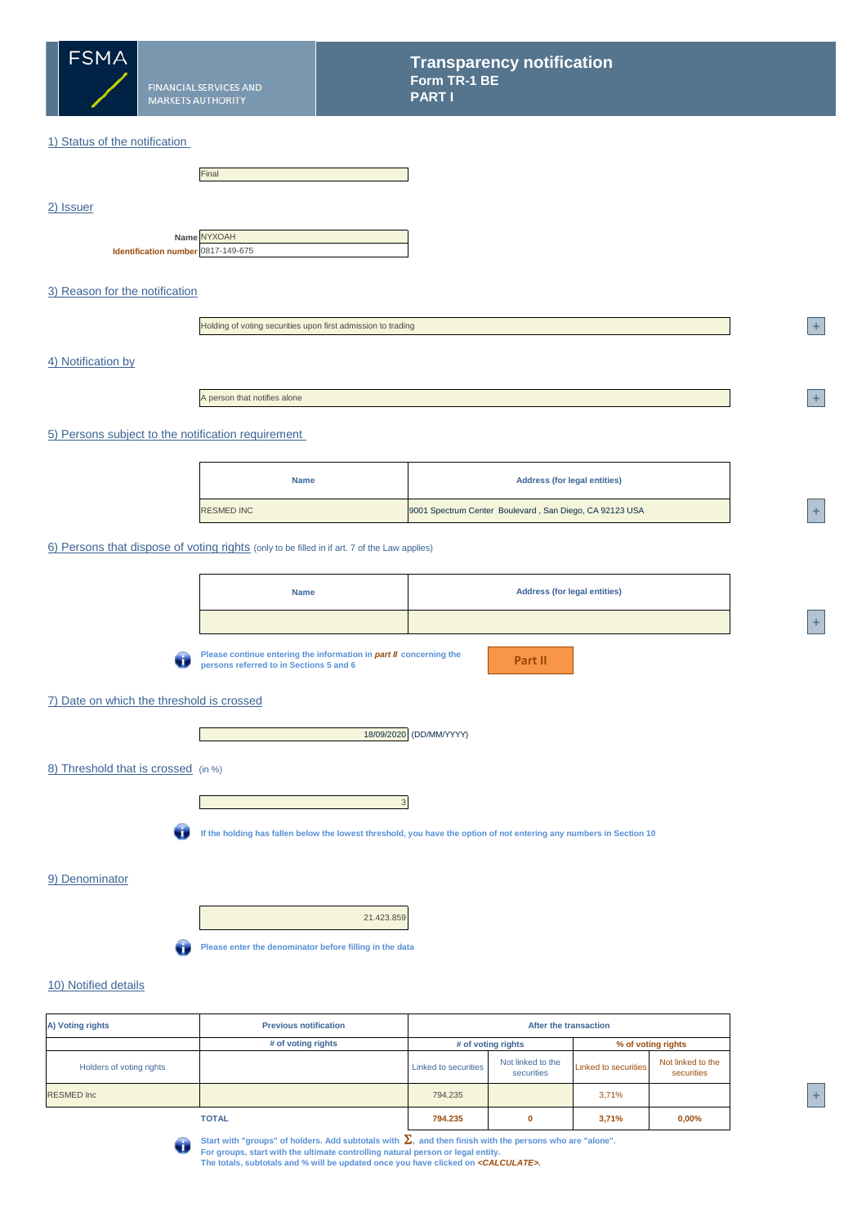

**FINANCIAL SERVICES AND MARKETS AUTHORITY** 

Final

|                                    | Name NYXOAH |
|------------------------------------|-------------|
| Identification number 0817-149-675 |             |

**<sup>4</sup> +** 

**<sup>1</sup> +** 

**<sup>A</sup> +** 



## 7) Date on which the threshold is crossed

3



| A) Voting rights         | <b>Previous notification</b> | After the transaction |                                 |                             |                                 |  |
|--------------------------|------------------------------|-----------------------|---------------------------------|-----------------------------|---------------------------------|--|
|                          | # of voting rights           |                       | # of voting rights              |                             | % of voting rights              |  |
| Holders of voting rights |                              | Linked to securities  | Not linked to the<br>securities | <b>Linked to securities</b> | Not linked to the<br>securities |  |
| <b>RESMED Inc</b>        |                              | 794.235               |                                 | 3,71%                       |                                 |  |
|                          | <b>TOTAL</b>                 | 794.235               | $\bf{0}$                        | 3,71%                       | $0,00\%$                        |  |



Start with "groups" of holders. Add subtotals with  $\Sigma$ , and then finish with the persons who are "alone".

**For groups, start with the ultimate controlling natural person or legal entity.** 

| <b>Name</b> | <b>Address (for legal entities)</b> |
|-------------|-------------------------------------|
|             |                                     |



**The totals, subtotals and % will be updated once you have clicked on** *<CALCULATE>.*

| <b>Name</b>       | <b>Address (for legal entities)</b>                     |     |
|-------------------|---------------------------------------------------------|-----|
| <b>RESMED INC</b> | 9001 Spectrum Center Boulevard, San Diego, CA 92123 USA | $+$ |

### 10) Notified details

w

**If the holding has fallen below the lowest threshold, you have the option of not entering any numbers in Section 10**

# 9) Denominator

**Transparency notification Form TR-1 BE PART I**

## 1) Status of the notification

**Please continue entering the information in** *part II* **concerning the persons referred to in Sections 5 and 6**

2) Issuer

### 3) Reason for the notification

5) Persons subject to the notification requirement

### 4) Notification by

## 6) Persons that dispose of voting rights (only to be filled in if art. 7 of the Law applies)

A person that notifies alone

Holding of voting securities upon first admission to trading